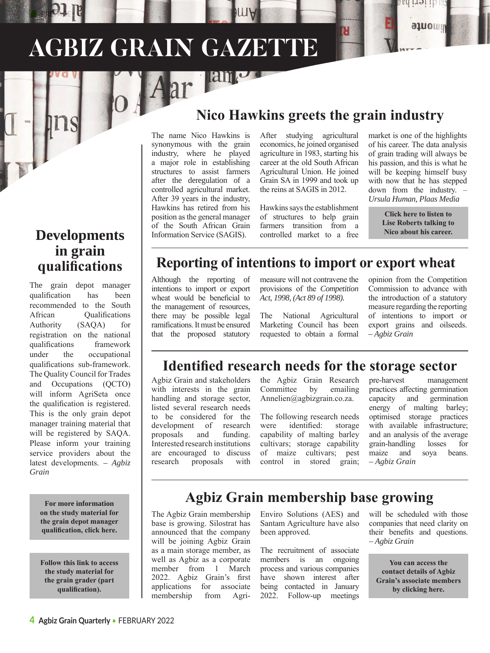# **AGBIZ GRAIN GAZETTE**

#### **Developments in grain qualifications**

PREF<sub>AC</sub>E

The grain depot manager qualification has been recommended to the South African Qualifications Authority (SAQA) for registration on the national qualifications framework under the occupational qualifications sub-framework. The Quality Council for Trades and Occupations (QCTO) will inform AgriSeta once the qualification is registered. This is the only grain depot manager training material that will be registered by SAQA. Please inform your training service providers about the latest developments. – *Agbiz Grain*

> **For more information [on the study material for](https://www.agbizgrain.co.za/training/grain-depot-manager-occupational-qualification)  the grain depot manager qualification, click here.**

**[Follow this link to access](https://www.agbizgrain.co.za/training/grain-grader-part-qualification-accommodated-in-grain-depot-manager)  the study material for the grain grader (part qualification).** 

## **Nico Hawkins greets the grain industry**

The name Nico Hawkins is synonymous with the grain industry, where he played a major role in establishing structures to assist farmers after the deregulation of a controlled agricultural market. After 39 years in the industry, Hawkins has retired from his position as the general manager of the South African Grain Information Service (SAGIS).

Aar lang

After studying agricultural economics, he joined organised agriculture in 1983, starting his career at the old South African Agricultural Union. He joined Grain SA in 1999 and took up the reins at SAGIS in 2012.

Hawkins says the establishment of structures to help grain farmers transition from a controlled market to a free market is one of the highlights of his career. The data analysis of grain trading will always be his passion, and this is what he will be keeping himself busy with now that he has stepped down from the industry. – *Ursula Human, Plaas Media*

a nar

aluoun

**Click here to listen to [Lise Roberts talking to](https://clyp.it/gqpfwojw)  Nico about his career.** 

#### **Reporting of intentions to import or export wheat**

Although the reporting of intentions to import or export wheat would be beneficial to the management of resources, there may be possible legal ramifications. It must be ensured that the proposed statutory measure will not contravene the provisions of the *Competition Act, 1998, (Act 89 of 1998).* 

The National Agricultural Marketing Council has been requested to obtain a formal

opinion from the Competition Commission to advance with the introduction of a statutory measure regarding the reporting of intentions to import or export grains and oilseeds. – *Agbiz Grain*

#### **Identified research needs for the storage sector**

Agbiz Grain and stakeholders with interests in the grain handling and storage sector, listed several research needs to be considered for the development of research proposals and funding. Interested research institutions are encouraged to discuss research proposals with

the Agbiz Grain Research Committee by emailing Annelien@agbizgrain.co.za.

The following research needs were identified: storage capability of malting barley cultivars; storage capability of maize cultivars; pest control in stored grain;

pre-harvest management practices affecting germination capacity and germination energy of malting barley; optimised storage practices with available infrastructure; and an analysis of the average grain-handling losses for maize and soya beans. – *Agbiz Grain*

## **Agbiz Grain membership base growing**

The Agbiz Grain membership base is growing. Silostrat has announced that the company will be joining Agbiz Grain as a main storage member, as well as Agbiz as a corporate member from 1 March 2022. Agbiz Grain's first applications for associate membership from AgriEnviro Solutions (AES) and Santam Agriculture have also been approved.

The recruitment of associate members is an ongoing process and various companies have shown interest after being contacted in January 2022. Follow-up meetings will be scheduled with those companies that need clarity on their benefits and questions. – *Agbiz Grain*

**You can access the contact details of Agbiz [Grain's associate members](https://www.agbizgrain.co.za/associate-members/members)  by clicking here.**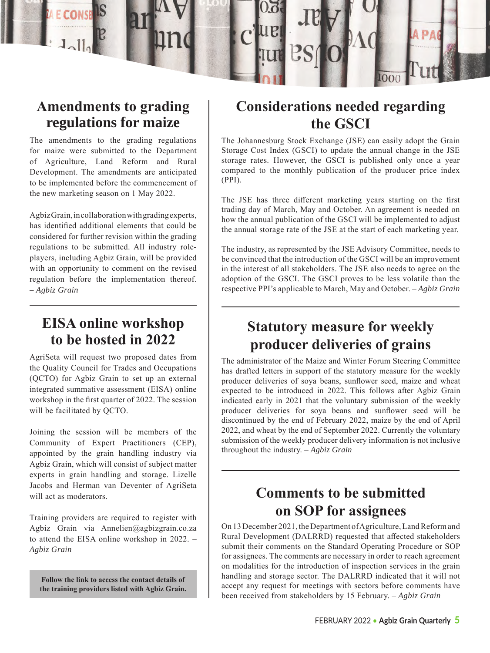

## **Amendments to grading regulations for maize**

The amendments to the grading regulations for maize were submitted to the Department of Agriculture, Land Reform and Rural Development. The amendments are anticipated to be implemented before the commencement of the new marketing season on 1 May 2022.

Agbiz Grain, in collaboration with grading experts, has identified additional elements that could be considered for further revision within the grading regulations to be submitted. All industry roleplayers, including Agbiz Grain, will be provided with an opportunity to comment on the revised regulation before the implementation thereof. – *Agbiz Grain* 

#### **EISA online workshop to be hosted in 2022**

AgriSeta will request two proposed dates from the Quality Council for Trades and Occupations (QCTO) for Agbiz Grain to set up an external integrated summative assessment (EISA) online workshop in the first quarter of 2022. The session will be facilitated by QCTO.

Joining the session will be members of the Community of Expert Practitioners (CEP), appointed by the grain handling industry via Agbiz Grain, which will consist of subject matter experts in grain handling and storage. Lizelle Jacobs and Herman van Deventer of AgriSeta will act as moderators.

Training providers are required to register with Agbiz Grain via Annelien@agbizgrain.co.za to attend the EISA online workshop in 2022. – *Agbiz Grain*

**Follow the link to access the contact details of [the training providers listed with Agbiz Grain.](https://www.agbizgrain.co.za/training/training-providers)** 

# **Considerations needed regarding the GSCI**

The Johannesburg Stock Exchange (JSE) can easily adopt the Grain Storage Cost Index (GSCI) to update the annual change in the JSE storage rates. However, the GSCI is published only once a year compared to the monthly publication of the producer price index (PPI).

The JSE has three different marketing years starting on the first trading day of March, May and October. An agreement is needed on how the annual publication of the GSCI will be implemented to adjust the annual storage rate of the JSE at the start of each marketing year.

The industry, as represented by the JSE Advisory Committee, needs to be convinced that the introduction of the GSCI will be an improvement in the interest of all stakeholders. The JSE also needs to agree on the adoption of the GSCI. The GSCI proves to be less volatile than the respective PPI's applicable to March, May and October. – *Agbiz Grain*

# **Statutory measure for weekly producer deliveries of grains**

The administrator of the Maize and Winter Forum Steering Committee has drafted letters in support of the statutory measure for the weekly producer deliveries of soya beans, sunflower seed, maize and wheat expected to be introduced in 2022. This follows after Agbiz Grain indicated early in 2021 that the voluntary submission of the weekly producer deliveries for soya beans and sunflower seed will be discontinued by the end of February 2022, maize by the end of April 2022, and wheat by the end of September 2022. Currently the voluntary submission of the weekly producer delivery information is not inclusive throughout the industry. – *Agbiz Grain*

# **Comments to be submitted on SOP for assignees**

On 13 December 2021, the Department of Agriculture, Land Reform and Rural Development (DALRRD) requested that affected stakeholders submit their comments on the Standard Operating Procedure or SOP for assignees. The comments are necessary in order to reach agreement on modalities for the introduction of inspection services in the grain handling and storage sector. The DALRRD indicated that it will not accept any request for meetings with sectors before comments have been received from stakeholders by 15 February. – *Agbiz Grain*